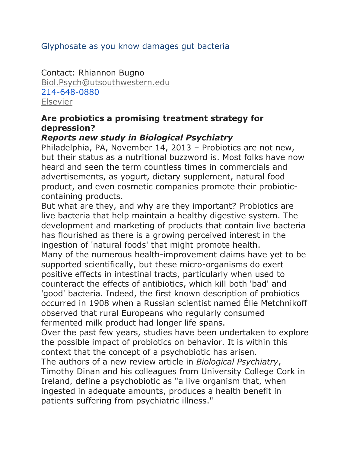### Glyphosate as you know damages gut bacteria

Contact: Rhiannon Bugno [Biol.Psych@utsouthwestern.edu](mailto:Biol.Psych@utsouthwestern.edu) [214-648-0880](tel:214-648-0880) **[Elsevier](http://www.elsevier.com/)** 

#### **Are probiotics a promising treatment strategy for depression?**

#### *Reports new study in Biological Psychiatry*

Philadelphia, PA, November 14, 2013 – Probiotics are not new, but their status as a nutritional buzzword is. Most folks have now heard and seen the term countless times in commercials and advertisements, as yogurt, dietary supplement, natural food product, and even cosmetic companies promote their probioticcontaining products.

But what are they, and why are they important? Probiotics are live bacteria that help maintain a healthy digestive system. The development and marketing of products that contain live bacteria has flourished as there is a growing perceived interest in the ingestion of 'natural foods' that might promote health. Many of the numerous health-improvement claims have yet to be supported scientifically, but these micro-organisms do exert positive effects in intestinal tracts, particularly when used to counteract the effects of antibiotics, which kill both 'bad' and 'good' bacteria. Indeed, the first known description of probiotics occurred in 1908 when a Russian scientist named Élie Metchnikoff observed that rural Europeans who regularly consumed fermented milk product had longer life spans.

Over the past few years, studies have been undertaken to explore the possible impact of probiotics on behavior. It is within this context that the concept of a psychobiotic has arisen.

The authors of a new review article in *Biological Psychiatry*, Timothy Dinan and his colleagues from University College Cork in Ireland, define a psychobiotic as "a live organism that, when ingested in adequate amounts, produces a health benefit in patients suffering from psychiatric illness."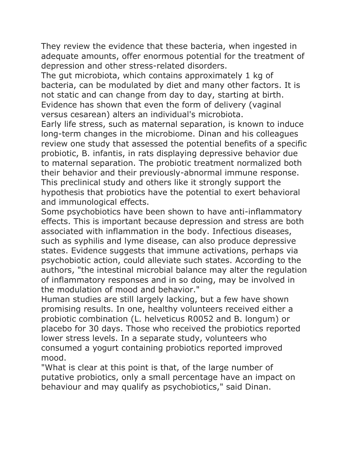They review the evidence that these bacteria, when ingested in adequate amounts, offer enormous potential for the treatment of depression and other stress-related disorders.

The gut microbiota, which contains approximately 1 kg of bacteria, can be modulated by diet and many other factors. It is not static and can change from day to day, starting at birth. Evidence has shown that even the form of delivery (vaginal versus cesarean) alters an individual's microbiota.

Early life stress, such as maternal separation, is known to induce long-term changes in the microbiome. Dinan and his colleagues review one study that assessed the potential benefits of a specific probiotic, B. infantis, in rats displaying depressive behavior due to maternal separation. The probiotic treatment normalized both their behavior and their previously-abnormal immune response. This preclinical study and others like it strongly support the hypothesis that probiotics have the potential to exert behavioral and immunological effects.

Some psychobiotics have been shown to have anti-inflammatory effects. This is important because depression and stress are both associated with inflammation in the body. Infectious diseases, such as syphilis and lyme disease, can also produce depressive states. Evidence suggests that immune activations, perhaps via psychobiotic action, could alleviate such states. According to the authors, "the intestinal microbial balance may alter the regulation of inflammatory responses and in so doing, may be involved in the modulation of mood and behavior."

Human studies are still largely lacking, but a few have shown promising results. In one, healthy volunteers received either a probiotic combination (L. helveticus R0052 and B. longum) or placebo for 30 days. Those who received the probiotics reported lower stress levels. In a separate study, volunteers who consumed a yogurt containing probiotics reported improved mood.

"What is clear at this point is that, of the large number of putative probiotics, only a small percentage have an impact on behaviour and may qualify as psychobiotics," said Dinan.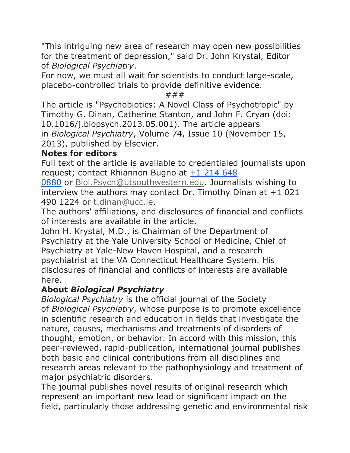"This intriguing new area of research may open new possibilities for the treatment of depression," said Dr. John Krystal, Editor of *Biological Psychiatry*.

For now, we must all wait for scientists to conduct large-scale, placebo-controlled trials to provide definitive evidence.

###

The article is "Psychobiotics: A Novel Class of Psychotropic" by Timothy G. Dinan, Catherine Stanton, and John F. Cryan (doi: 10.1016/j.biopsych.2013.05.001). The article appears in *Biological Psychiatry*, Volume 74, Issue 10 (November 15, 2013), published by Elsevier.

## **Notes for editors**

Full text of the article is available to credentialed journalists upon request; contact Rhiannon Bugno at [+1 214 648](tel:%2B1%20214%20648%200880) 

[0880](tel:%2B1%20214%20648%200880) or [Biol.Psych@utsouthwestern.edu.](mailto:Biol.Psych@utsouthwestern.edu) Journalists wishing to interview the authors may contact Dr. Timothy Dinan at  $+1$  021 490 1224 or [t.dinan@ucc.ie.](mailto:t.dinan@ucc.ie)

The authors' affiliations, and disclosures of financial and conflicts of interests are available in the article.

John H. Krystal, M.D., is Chairman of the Department of Psychiatry at the Yale University School of Medicine, Chief of Psychiatry at Yale-New Haven Hospital, and a research psychiatrist at the VA Connecticut Healthcare System. His disclosures of financial and conflicts of interests are available here.

# **About** *Biological Psychiatry*

*Biological Psychiatry* is the official journal of the Society of *Biological Psychiatry*, whose purpose is to promote excellence in scientific research and education in fields that investigate the nature, causes, mechanisms and treatments of disorders of thought, emotion, or behavior. In accord with this mission, this peer-reviewed, rapid-publication, international journal publishes both basic and clinical contributions from all disciplines and research areas relevant to the pathophysiology and treatment of major psychiatric disorders.

The journal publishes novel results of original research which represent an important new lead or significant impact on the field, particularly those addressing genetic and environmental risk